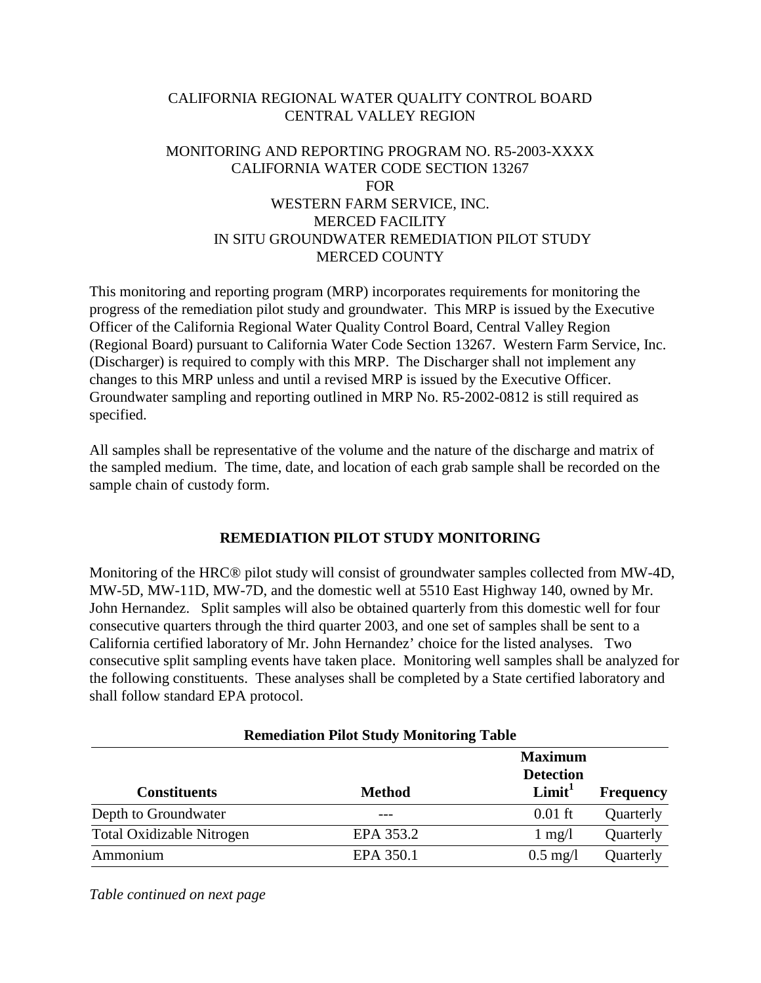# CALIFORNIA REGIONAL WATER QUALITY CONTROL BOARD CENTRAL VALLEY REGION

# MONITORING AND REPORTING PROGRAM NO. R5-2003-XXXX CALIFORNIA WATER CODE SECTION 13267 FOR WESTERN FARM SERVICE, INC. MERCED FACILITY IN SITU GROUNDWATER REMEDIATION PILOT STUDY MERCED COUNTY

This monitoring and reporting program (MRP) incorporates requirements for monitoring the progress of the remediation pilot study and groundwater. This MRP is issued by the Executive Officer of the California Regional Water Quality Control Board, Central Valley Region (Regional Board) pursuant to California Water Code Section 13267. Western Farm Service, Inc. (Discharger) is required to comply with this MRP. The Discharger shall not implement any changes to this MRP unless and until a revised MRP is issued by the Executive Officer. Groundwater sampling and reporting outlined in MRP No. R5-2002-0812 is still required as specified.

All samples shall be representative of the volume and the nature of the discharge and matrix of the sampled medium. The time, date, and location of each grab sample shall be recorded on the sample chain of custody form.

# **REMEDIATION PILOT STUDY MONITORING**

Monitoring of the HRC® pilot study will consist of groundwater samples collected from MW-4D, MW-5D, MW-11D, MW-7D, and the domestic well at 5510 East Highway 140, owned by Mr. John Hernandez. Split samples will also be obtained quarterly from this domestic well for four consecutive quarters through the third quarter 2003, and one set of samples shall be sent to a California certified laboratory of Mr. John Hernandez' choice for the listed analyses. Two consecutive split sampling events have taken place. Monitoring well samples shall be analyzed for the following constituents. These analyses shall be completed by a State certified laboratory and shall follow standard EPA protocol.

| <b>Remediation Pilot Study Monitoring Table</b> |               |                                                          |                  |  |  |
|-------------------------------------------------|---------------|----------------------------------------------------------|------------------|--|--|
| <b>Constituents</b>                             | <b>Method</b> | <b>Maximum</b><br><b>Detection</b><br>Limit <sup>1</sup> | <b>Frequency</b> |  |  |
| Depth to Groundwater                            |               | $0.01$ ft                                                | Quarterly        |  |  |
| <b>Total Oxidizable Nitrogen</b>                | EPA 353.2     | $1 \text{ mg}/1$                                         | Quarterly        |  |  |
| Ammonium                                        | EPA 350.1     | $0.5 \text{ mg}/l$                                       | Quarterly        |  |  |

**Remediation Pilot Study Monitoring Table** 

*Table continued on next page*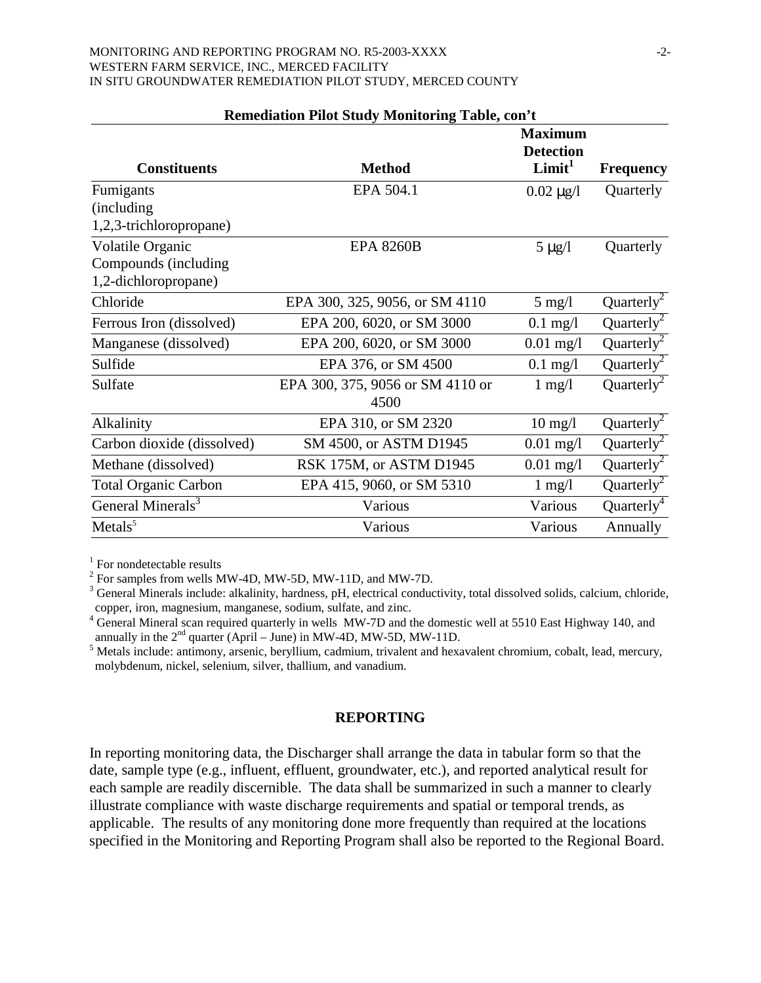#### MONITORING AND REPORTING PROGRAM NO. R5-2003-XXXX  $-2$ -WESTERN FARM SERVICE, INC., MERCED FACILITY IN SITU GROUNDWATER REMEDIATION PILOT STUDY, MERCED COUNTY

|                               |                                  | <b>Maximum</b><br><b>Detection</b> |                        |
|-------------------------------|----------------------------------|------------------------------------|------------------------|
| <b>Constituents</b>           | <b>Method</b>                    | Limit <sup>1</sup>                 | <b>Frequency</b>       |
| Fumigants                     | EPA 504.1                        | $0.02 \mu g/l$                     | Quarterly              |
| (including)                   |                                  |                                    |                        |
| 1,2,3-trichloropropane)       |                                  |                                    |                        |
| Volatile Organic              | <b>EPA 8260B</b>                 | $5 \mu g/l$                        | Quarterly              |
| Compounds (including          |                                  |                                    |                        |
| 1,2-dichloropropane)          |                                  |                                    |                        |
| Chloride                      | EPA 300, 325, 9056, or SM 4110   | $5 \text{ mg/l}$                   | Quarterly <sup>2</sup> |
| Ferrous Iron (dissolved)      | EPA 200, 6020, or SM 3000        | $0.1$ mg/l                         | Quarterly <sup>2</sup> |
| Manganese (dissolved)         | EPA 200, 6020, or SM 3000        | $0.01$ mg/l                        | Quarterly <sup>2</sup> |
| Sulfide                       | EPA 376, or SM 4500              | $0.1$ mg/l                         | Quarterly <sup>2</sup> |
| Sulfate                       | EPA 300, 375, 9056 or SM 4110 or | $1 \text{ mg}/1$                   | Quarterly <sup>2</sup> |
|                               | 4500                             |                                    |                        |
| Alkalinity                    | EPA 310, or SM 2320              | $10 \text{ mg/l}$                  | Quarterly <sup>2</sup> |
| Carbon dioxide (dissolved)    | SM 4500, or ASTM D1945           | $0.01$ mg/l                        | Quarterly <sup>2</sup> |
| Methane (dissolved)           | RSK 175M, or ASTM D1945          | $0.01$ mg/l                        | Quarterly <sup>2</sup> |
| <b>Total Organic Carbon</b>   | EPA 415, 9060, or SM 5310        | $1 \text{ mg}/1$                   | Quarterly <sup>2</sup> |
| General Minerals <sup>3</sup> | Various                          | Various                            | Quarterly <sup>4</sup> |
| Metals <sup>5</sup>           | Various                          | Various                            | Annually               |

#### **Remediation Pilot Study Monitoring Table, con't**

<sup>1</sup> For nondetectable results

 $2^2$  For samples from wells MW-4D, MW-5D, MW-11D, and MW-7D.

 $3$  General Minerals include: alkalinity, hardness, pH, electrical conductivity, total dissolved solids, calcium, chloride, copper, iron, magnesium, manganese, sodium, sulfate, and zinc.

<sup>4</sup> General Mineral scan required quarterly in wells MW-7D and the domestic well at 5510 East Highway 140, and annually in the  $2<sup>nd</sup>$  quarter (April – June) in MW-4D, MW-5D, MW-11D.

<sup>5</sup> Metals include: antimony, arsenic, beryllium, cadmium, trivalent and hexavalent chromium, cobalt, lead, mercury, molybdenum, nickel, selenium, silver, thallium, and vanadium.

### **REPORTING**

In reporting monitoring data, the Discharger shall arrange the data in tabular form so that the date, sample type (e.g., influent, effluent, groundwater, etc.), and reported analytical result for each sample are readily discernible. The data shall be summarized in such a manner to clearly illustrate compliance with waste discharge requirements and spatial or temporal trends, as applicable. The results of any monitoring done more frequently than required at the locations specified in the Monitoring and Reporting Program shall also be reported to the Regional Board.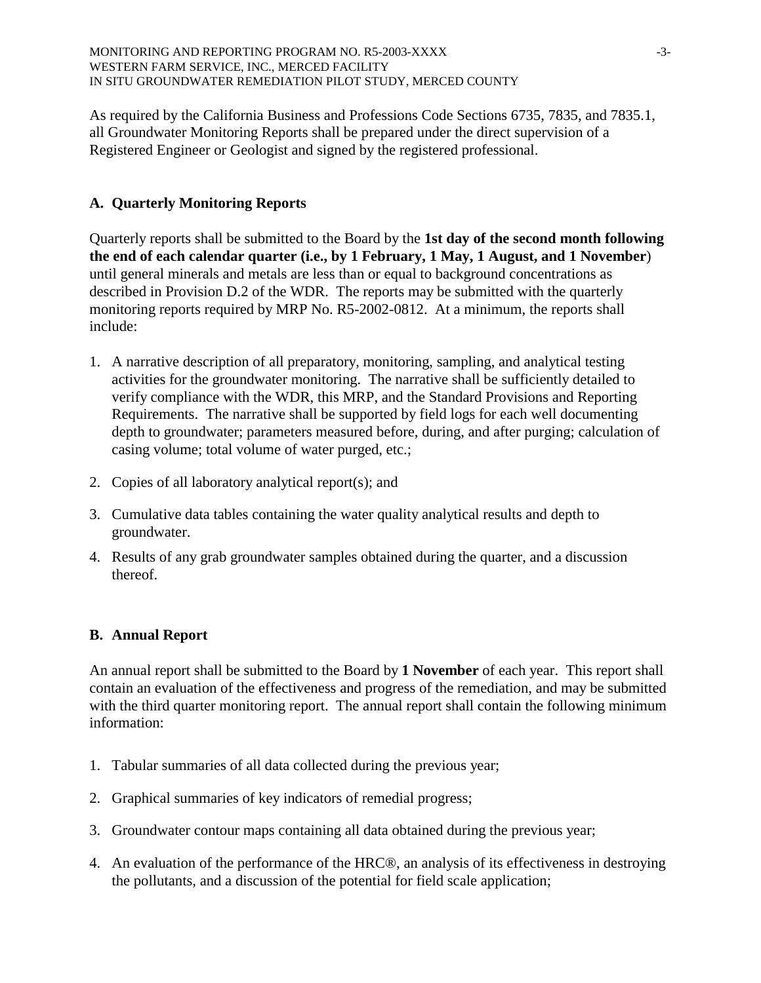As required by the California Business and Professions Code Sections 6735, 7835, and 7835.1, all Groundwater Monitoring Reports shall be prepared under the direct supervision of a Registered Engineer or Geologist and signed by the registered professional.

# **A. Quarterly Monitoring Reports**

Quarterly reports shall be submitted to the Board by the **1st day of the second month following the end of each calendar quarter (i.e., by 1 February, 1 May, 1 August, and 1 November**) until general minerals and metals are less than or equal to background concentrations as described in Provision D.2 of the WDR. The reports may be submitted with the quarterly monitoring reports required by MRP No. R5-2002-0812. At a minimum, the reports shall include:

- 1. A narrative description of all preparatory, monitoring, sampling, and analytical testing activities for the groundwater monitoring. The narrative shall be sufficiently detailed to verify compliance with the WDR, this MRP, and the Standard Provisions and Reporting Requirements. The narrative shall be supported by field logs for each well documenting depth to groundwater; parameters measured before, during, and after purging; calculation of casing volume; total volume of water purged, etc.;
- 2. Copies of all laboratory analytical report(s); and
- 3. Cumulative data tables containing the water quality analytical results and depth to groundwater.
- 4. Results of any grab groundwater samples obtained during the quarter, and a discussion thereof.

# **B. Annual Report**

An annual report shall be submitted to the Board by **1 November** of each year. This report shall contain an evaluation of the effectiveness and progress of the remediation, and may be submitted with the third quarter monitoring report. The annual report shall contain the following minimum information:

- 1. Tabular summaries of all data collected during the previous year;
- 2. Graphical summaries of key indicators of remedial progress;
- 3. Groundwater contour maps containing all data obtained during the previous year;
- 4. An evaluation of the performance of the HRC®, an analysis of its effectiveness in destroying the pollutants, and a discussion of the potential for field scale application;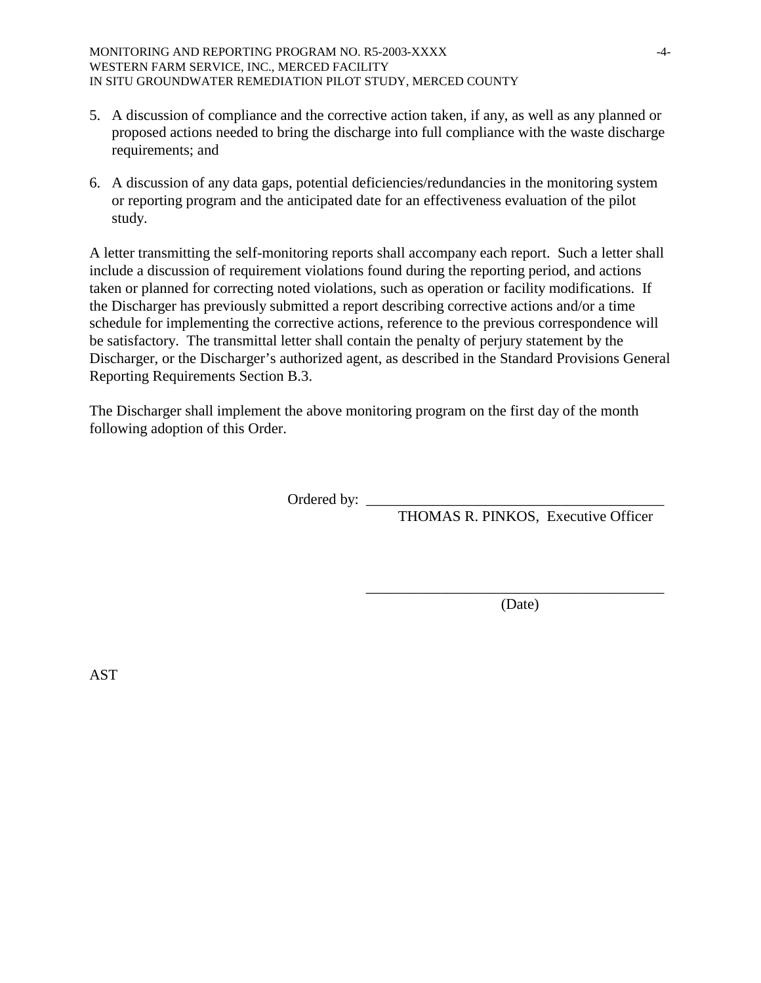- 5. A discussion of compliance and the corrective action taken, if any, as well as any planned or proposed actions needed to bring the discharge into full compliance with the waste discharge requirements; and
- 6. A discussion of any data gaps, potential deficiencies/redundancies in the monitoring system or reporting program and the anticipated date for an effectiveness evaluation of the pilot study.

A letter transmitting the self-monitoring reports shall accompany each report. Such a letter shall include a discussion of requirement violations found during the reporting period, and actions taken or planned for correcting noted violations, such as operation or facility modifications. If the Discharger has previously submitted a report describing corrective actions and/or a time schedule for implementing the corrective actions, reference to the previous correspondence will be satisfactory. The transmittal letter shall contain the penalty of perjury statement by the Discharger, or the Discharger's authorized agent, as described in the Standard Provisions General Reporting Requirements Section B.3.

The Discharger shall implement the above monitoring program on the first day of the month following adoption of this Order.

 $\overline{\phantom{a}}$  , which is a set of the set of the set of the set of the set of the set of the set of the set of the set of the set of the set of the set of the set of the set of the set of the set of the set of the set of th

Ordered by: \_\_\_\_\_\_\_\_\_\_\_\_\_\_\_\_\_\_\_\_\_\_\_\_\_\_\_\_\_\_\_\_\_\_\_\_\_\_\_\_

THOMAS R. PINKOS, Executive Officer

(Date)

AST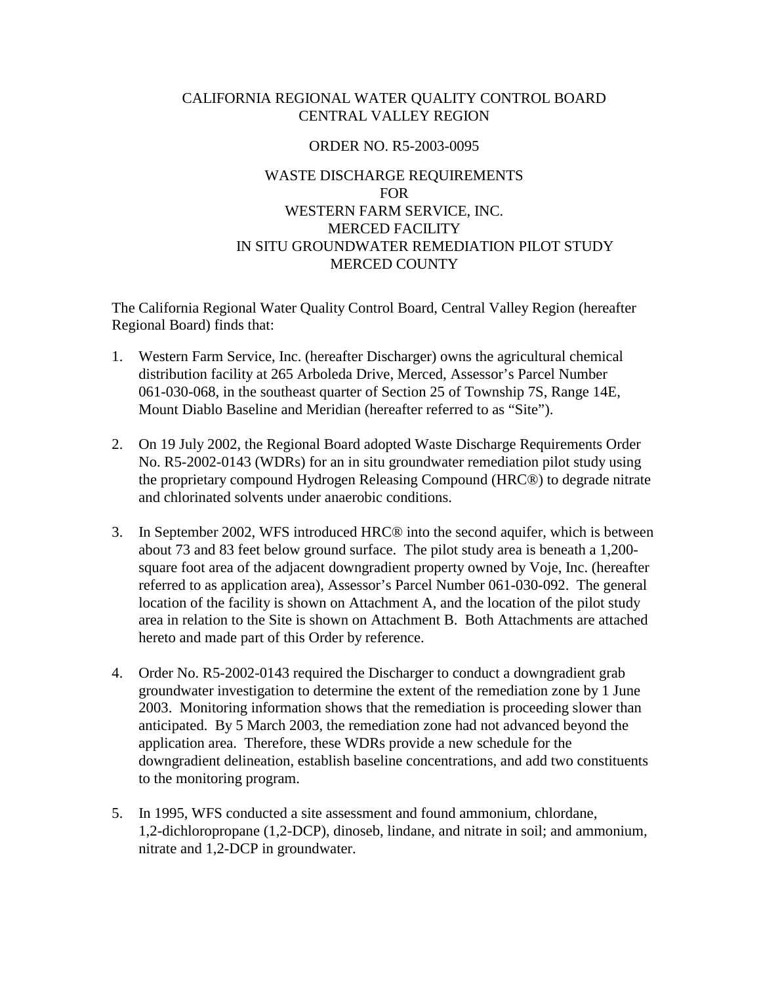### CALIFORNIA REGIONAL WATER QUALITY CONTROL BOARD CENTRAL VALLEY REGION

### ORDER NO. R5-2003-0095

# WASTE DISCHARGE REQUIREMENTS FOR WESTERN FARM SERVICE, INC. MERCED FACILITY IN SITU GROUNDWATER REMEDIATION PILOT STUDY MERCED COUNTY

The California Regional Water Quality Control Board, Central Valley Region (hereafter Regional Board) finds that:

- 1. Western Farm Service, Inc. (hereafter Discharger) owns the agricultural chemical distribution facility at 265 Arboleda Drive, Merced, Assessor's Parcel Number 061-030-068, in the southeast quarter of Section 25 of Township 7S, Range 14E, Mount Diablo Baseline and Meridian (hereafter referred to as "Site").
- 2. On 19 July 2002, the Regional Board adopted Waste Discharge Requirements Order No. R5-2002-0143 (WDRs) for an in situ groundwater remediation pilot study using the proprietary compound Hydrogen Releasing Compound (HRC®) to degrade nitrate and chlorinated solvents under anaerobic conditions.
- 3. In September 2002, WFS introduced HRC® into the second aquifer, which is between about 73 and 83 feet below ground surface. The pilot study area is beneath a 1,200 square foot area of the adjacent downgradient property owned by Voje, Inc. (hereafter referred to as application area), Assessor's Parcel Number 061-030-092. The general location of the facility is shown on Attachment A, and the location of the pilot study area in relation to the Site is shown on Attachment B. Both Attachments are attached hereto and made part of this Order by reference.
- 4. Order No. R5-2002-0143 required the Discharger to conduct a downgradient grab groundwater investigation to determine the extent of the remediation zone by 1 June 2003. Monitoring information shows that the remediation is proceeding slower than anticipated. By 5 March 2003, the remediation zone had not advanced beyond the application area. Therefore, these WDRs provide a new schedule for the downgradient delineation, establish baseline concentrations, and add two constituents to the monitoring program.
- 5. In 1995, WFS conducted a site assessment and found ammonium, chlordane, 1,2-dichloropropane (1,2-DCP), dinoseb, lindane, and nitrate in soil; and ammonium, nitrate and 1,2-DCP in groundwater.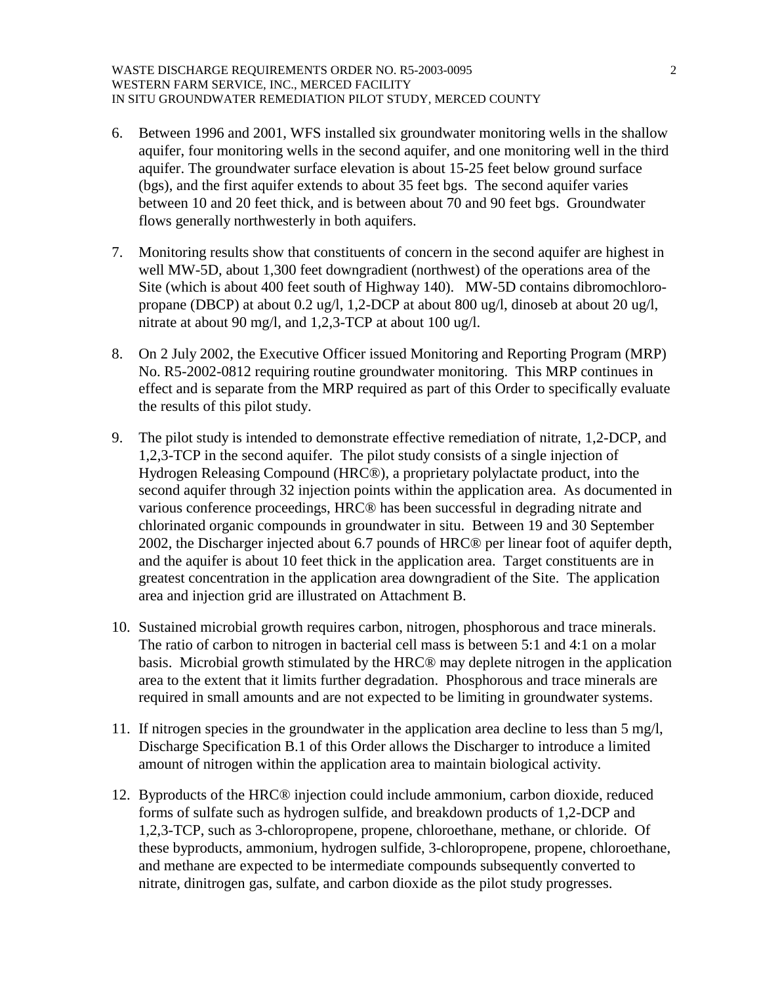- 6. Between 1996 and 2001, WFS installed six groundwater monitoring wells in the shallow aquifer, four monitoring wells in the second aquifer, and one monitoring well in the third aquifer. The groundwater surface elevation is about 15-25 feet below ground surface (bgs), and the first aquifer extends to about 35 feet bgs. The second aquifer varies between 10 and 20 feet thick, and is between about 70 and 90 feet bgs. Groundwater flows generally northwesterly in both aquifers.
- 7. Monitoring results show that constituents of concern in the second aquifer are highest in well MW-5D, about 1,300 feet downgradient (northwest) of the operations area of the Site (which is about 400 feet south of Highway 140). MW-5D contains dibromochloropropane (DBCP) at about 0.2 ug/l, 1,2-DCP at about 800 ug/l, dinoseb at about 20 ug/l, nitrate at about 90 mg/l, and 1,2,3-TCP at about 100 ug/l.
- 8. On 2 July 2002, the Executive Officer issued Monitoring and Reporting Program (MRP) No. R5-2002-0812 requiring routine groundwater monitoring. This MRP continues in effect and is separate from the MRP required as part of this Order to specifically evaluate the results of this pilot study.
- 9. The pilot study is intended to demonstrate effective remediation of nitrate, 1,2-DCP, and 1,2,3-TCP in the second aquifer. The pilot study consists of a single injection of Hydrogen Releasing Compound (HRC®), a proprietary polylactate product, into the second aquifer through 32 injection points within the application area. As documented in various conference proceedings, HRC® has been successful in degrading nitrate and chlorinated organic compounds in groundwater in situ. Between 19 and 30 September 2002, the Discharger injected about 6.7 pounds of HRC® per linear foot of aquifer depth, and the aquifer is about 10 feet thick in the application area. Target constituents are in greatest concentration in the application area downgradient of the Site. The application area and injection grid are illustrated on Attachment B.
- 10. Sustained microbial growth requires carbon, nitrogen, phosphorous and trace minerals. The ratio of carbon to nitrogen in bacterial cell mass is between 5:1 and 4:1 on a molar basis. Microbial growth stimulated by the HRC® may deplete nitrogen in the application area to the extent that it limits further degradation. Phosphorous and trace minerals are required in small amounts and are not expected to be limiting in groundwater systems.
- 11. If nitrogen species in the groundwater in the application area decline to less than 5 mg/l, Discharge Specification B.1 of this Order allows the Discharger to introduce a limited amount of nitrogen within the application area to maintain biological activity.
- 12. Byproducts of the HRC® injection could include ammonium, carbon dioxide, reduced forms of sulfate such as hydrogen sulfide, and breakdown products of 1,2-DCP and 1,2,3-TCP, such as 3-chloropropene, propene, chloroethane, methane, or chloride. Of these byproducts, ammonium, hydrogen sulfide, 3-chloropropene, propene, chloroethane, and methane are expected to be intermediate compounds subsequently converted to nitrate, dinitrogen gas, sulfate, and carbon dioxide as the pilot study progresses.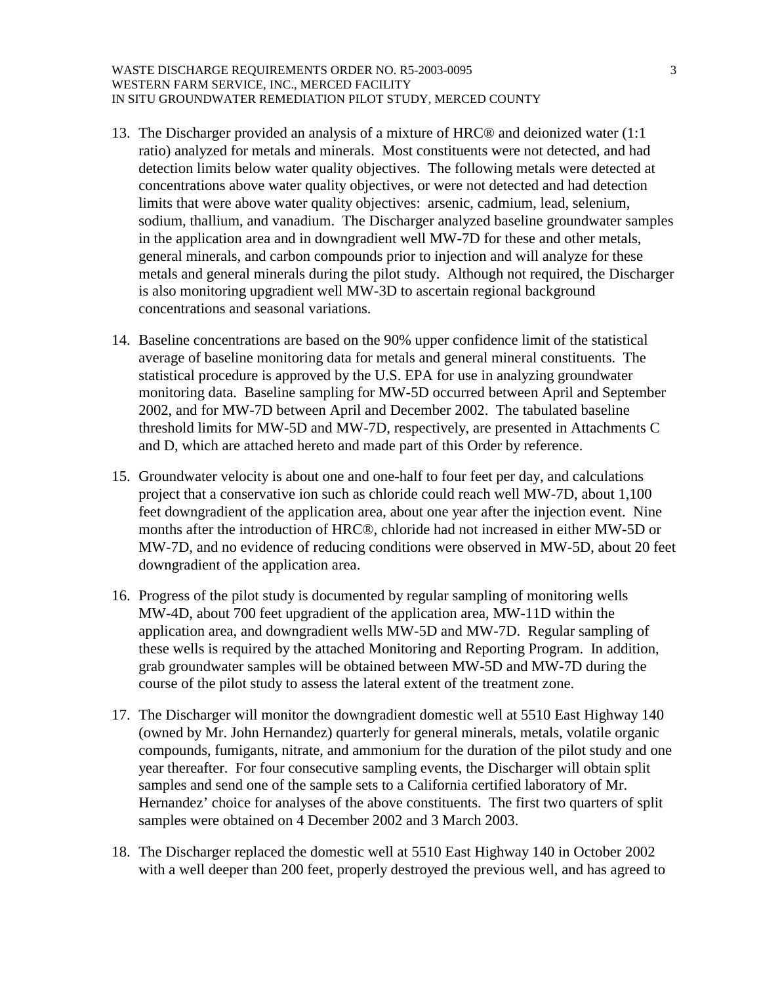#### WASTE DISCHARGE REQUIREMENTS ORDER NO. R5-2003-0095 3 WESTERN FARM SERVICE, INC., MERCED FACILITY IN SITU GROUNDWATER REMEDIATION PILOT STUDY, MERCED COUNTY

- 13. The Discharger provided an analysis of a mixture of HRC® and deionized water (1:1 ratio) analyzed for metals and minerals. Most constituents were not detected, and had detection limits below water quality objectives. The following metals were detected at concentrations above water quality objectives, or were not detected and had detection limits that were above water quality objectives: arsenic, cadmium, lead, selenium, sodium, thallium, and vanadium. The Discharger analyzed baseline groundwater samples in the application area and in downgradient well MW-7D for these and other metals, general minerals, and carbon compounds prior to injection and will analyze for these metals and general minerals during the pilot study. Although not required, the Discharger is also monitoring upgradient well MW-3D to ascertain regional background concentrations and seasonal variations.
- 14. Baseline concentrations are based on the 90% upper confidence limit of the statistical average of baseline monitoring data for metals and general mineral constituents. The statistical procedure is approved by the U.S. EPA for use in analyzing groundwater monitoring data. Baseline sampling for MW-5D occurred between April and September 2002, and for MW-7D between April and December 2002. The tabulated baseline threshold limits for MW-5D and MW-7D, respectively, are presented in Attachments C and D, which are attached hereto and made part of this Order by reference.
- 15. Groundwater velocity is about one and one-half to four feet per day, and calculations project that a conservative ion such as chloride could reach well MW-7D, about 1,100 feet downgradient of the application area, about one year after the injection event. Nine months after the introduction of HRC®, chloride had not increased in either MW-5D or MW-7D, and no evidence of reducing conditions were observed in MW-5D, about 20 feet downgradient of the application area.
- 16. Progress of the pilot study is documented by regular sampling of monitoring wells MW-4D, about 700 feet upgradient of the application area, MW-11D within the application area, and downgradient wells MW-5D and MW-7D. Regular sampling of these wells is required by the attached Monitoring and Reporting Program. In addition, grab groundwater samples will be obtained between MW-5D and MW-7D during the course of the pilot study to assess the lateral extent of the treatment zone.
- 17. The Discharger will monitor the downgradient domestic well at 5510 East Highway 140 (owned by Mr. John Hernandez) quarterly for general minerals, metals, volatile organic compounds, fumigants, nitrate, and ammonium for the duration of the pilot study and one year thereafter. For four consecutive sampling events, the Discharger will obtain split samples and send one of the sample sets to a California certified laboratory of Mr. Hernandez' choice for analyses of the above constituents. The first two quarters of split samples were obtained on 4 December 2002 and 3 March 2003.
- 18. The Discharger replaced the domestic well at 5510 East Highway 140 in October 2002 with a well deeper than 200 feet, properly destroyed the previous well, and has agreed to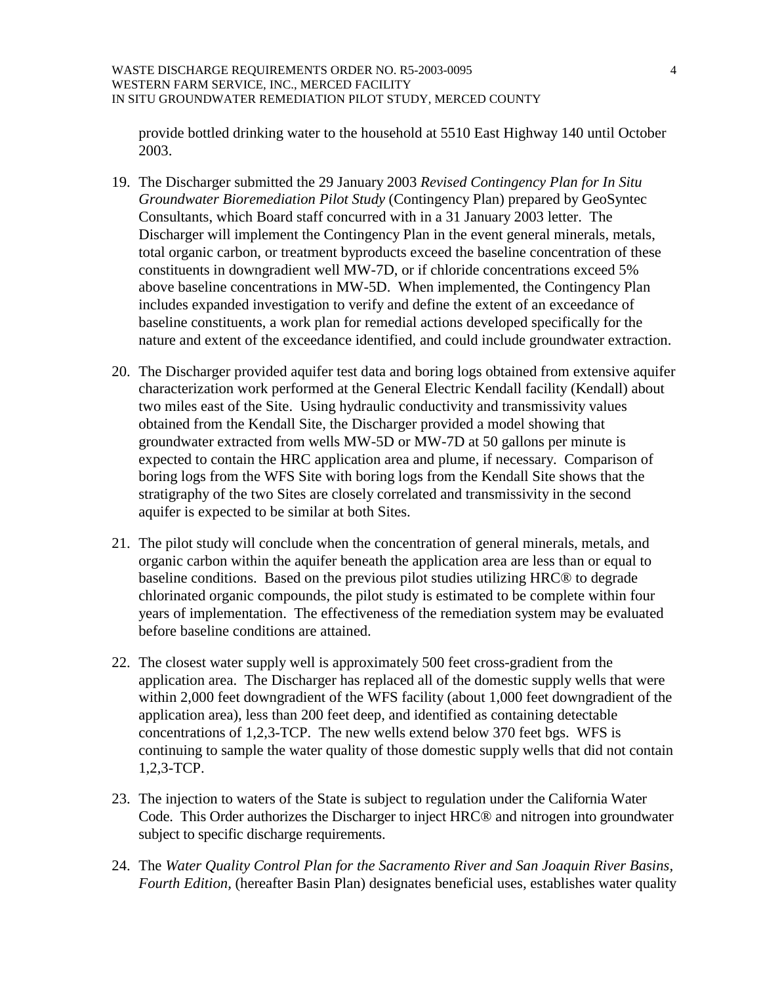#### WASTE DISCHARGE REQUIREMENTS ORDER NO. R5-2003-0095 4 WESTERN FARM SERVICE, INC., MERCED FACILITY IN SITU GROUNDWATER REMEDIATION PILOT STUDY, MERCED COUNTY

provide bottled drinking water to the household at 5510 East Highway 140 until October 2003.

- 19. The Discharger submitted the 29 January 2003 *Revised Contingency Plan for In Situ Groundwater Bioremediation Pilot Study* (Contingency Plan) prepared by GeoSyntec Consultants, which Board staff concurred with in a 31 January 2003 letter. The Discharger will implement the Contingency Plan in the event general minerals, metals, total organic carbon, or treatment byproducts exceed the baseline concentration of these constituents in downgradient well MW-7D, or if chloride concentrations exceed 5% above baseline concentrations in MW-5D. When implemented, the Contingency Plan includes expanded investigation to verify and define the extent of an exceedance of baseline constituents, a work plan for remedial actions developed specifically for the nature and extent of the exceedance identified, and could include groundwater extraction.
- 20. The Discharger provided aquifer test data and boring logs obtained from extensive aquifer characterization work performed at the General Electric Kendall facility (Kendall) about two miles east of the Site. Using hydraulic conductivity and transmissivity values obtained from the Kendall Site, the Discharger provided a model showing that groundwater extracted from wells MW-5D or MW-7D at 50 gallons per minute is expected to contain the HRC application area and plume, if necessary. Comparison of boring logs from the WFS Site with boring logs from the Kendall Site shows that the stratigraphy of the two Sites are closely correlated and transmissivity in the second aquifer is expected to be similar at both Sites.
- 21. The pilot study will conclude when the concentration of general minerals, metals, and organic carbon within the aquifer beneath the application area are less than or equal to baseline conditions. Based on the previous pilot studies utilizing HRC® to degrade chlorinated organic compounds, the pilot study is estimated to be complete within four years of implementation. The effectiveness of the remediation system may be evaluated before baseline conditions are attained.
- 22. The closest water supply well is approximately 500 feet cross-gradient from the application area. The Discharger has replaced all of the domestic supply wells that were within 2,000 feet downgradient of the WFS facility (about 1,000 feet downgradient of the application area), less than 200 feet deep, and identified as containing detectable concentrations of 1,2,3-TCP. The new wells extend below 370 feet bgs. WFS is continuing to sample the water quality of those domestic supply wells that did not contain 1,2,3-TCP.
- 23. The injection to waters of the State is subject to regulation under the California Water Code. This Order authorizes the Discharger to inject HRC® and nitrogen into groundwater subject to specific discharge requirements.
- 24. The *Water Quality Control Plan for the Sacramento River and San Joaquin River Basins, Fourth Edition,* (hereafter Basin Plan) designates beneficial uses, establishes water quality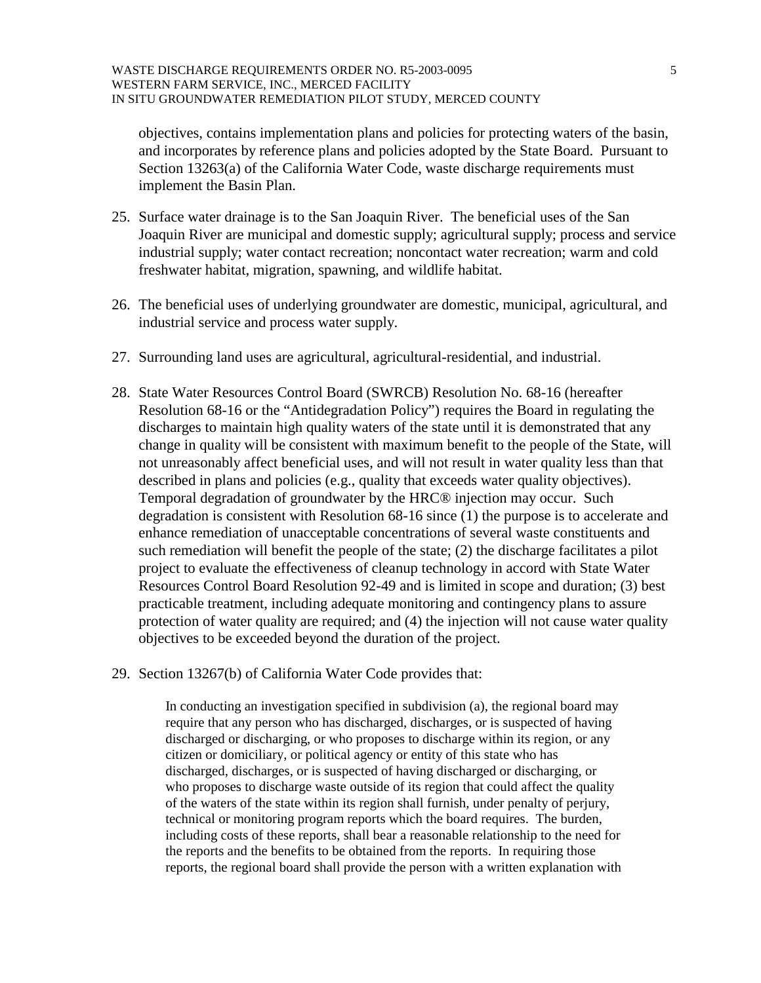objectives, contains implementation plans and policies for protecting waters of the basin, and incorporates by reference plans and policies adopted by the State Board. Pursuant to Section 13263(a) of the California Water Code, waste discharge requirements must implement the Basin Plan.

- 25. Surface water drainage is to the San Joaquin River. The beneficial uses of the San Joaquin River are municipal and domestic supply; agricultural supply; process and service industrial supply; water contact recreation; noncontact water recreation; warm and cold freshwater habitat, migration, spawning, and wildlife habitat.
- 26. The beneficial uses of underlying groundwater are domestic, municipal, agricultural, and industrial service and process water supply.
- 27. Surrounding land uses are agricultural, agricultural-residential, and industrial.
- 28. State Water Resources Control Board (SWRCB) Resolution No. 68-16 (hereafter Resolution 68-16 or the "Antidegradation Policy") requires the Board in regulating the discharges to maintain high quality waters of the state until it is demonstrated that any change in quality will be consistent with maximum benefit to the people of the State, will not unreasonably affect beneficial uses, and will not result in water quality less than that described in plans and policies (e.g., quality that exceeds water quality objectives). Temporal degradation of groundwater by the HRC® injection may occur. Such degradation is consistent with Resolution 68-16 since (1) the purpose is to accelerate and enhance remediation of unacceptable concentrations of several waste constituents and such remediation will benefit the people of the state; (2) the discharge facilitates a pilot project to evaluate the effectiveness of cleanup technology in accord with State Water Resources Control Board Resolution 92-49 and is limited in scope and duration; (3) best practicable treatment, including adequate monitoring and contingency plans to assure protection of water quality are required; and (4) the injection will not cause water quality objectives to be exceeded beyond the duration of the project.
- 29. Section 13267(b) of California Water Code provides that:

In conducting an investigation specified in subdivision (a), the regional board may require that any person who has discharged, discharges, or is suspected of having discharged or discharging, or who proposes to discharge within its region, or any citizen or domiciliary, or political agency or entity of this state who has discharged, discharges, or is suspected of having discharged or discharging, or who proposes to discharge waste outside of its region that could affect the quality of the waters of the state within its region shall furnish, under penalty of perjury, technical or monitoring program reports which the board requires. The burden, including costs of these reports, shall bear a reasonable relationship to the need for the reports and the benefits to be obtained from the reports. In requiring those reports, the regional board shall provide the person with a written explanation with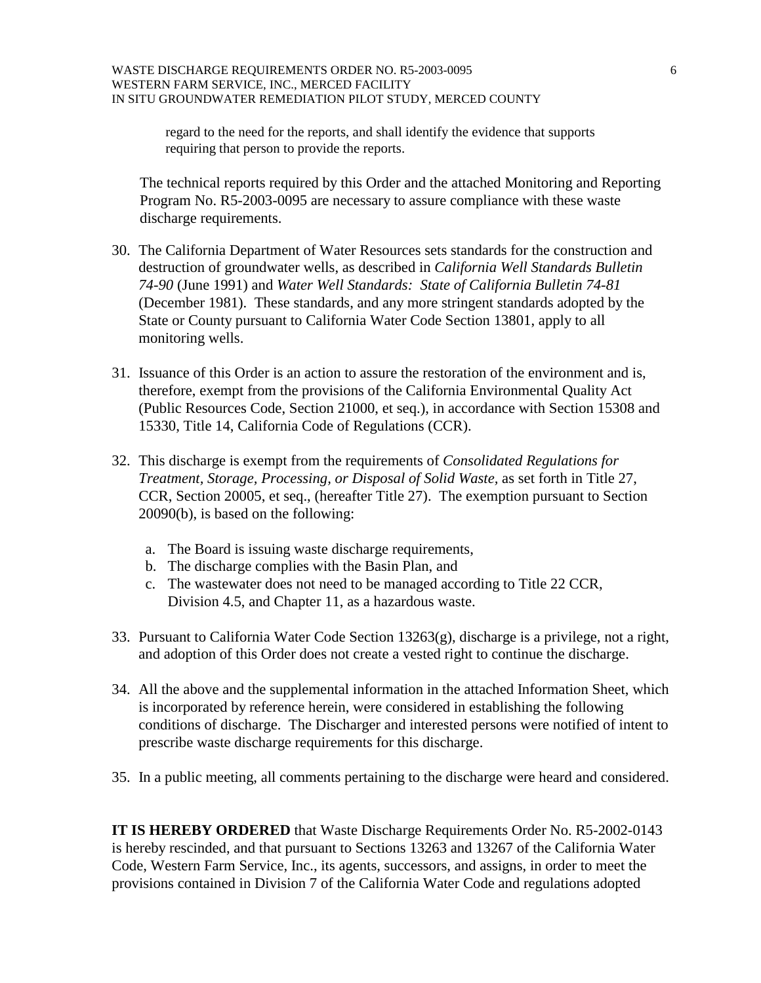regard to the need for the reports, and shall identify the evidence that supports requiring that person to provide the reports.

The technical reports required by this Order and the attached Monitoring and Reporting Program No. R5-2003-0095 are necessary to assure compliance with these waste discharge requirements.

- 30. The California Department of Water Resources sets standards for the construction and destruction of groundwater wells, as described in *California Well Standards Bulletin 74-90* (June 1991) and *Water Well Standards: State of California Bulletin 74-81* (December 1981). These standards, and any more stringent standards adopted by the State or County pursuant to California Water Code Section 13801, apply to all monitoring wells.
- 31. Issuance of this Order is an action to assure the restoration of the environment and is, therefore, exempt from the provisions of the California Environmental Quality Act (Public Resources Code, Section 21000, et seq.), in accordance with Section 15308 and 15330, Title 14, California Code of Regulations (CCR).
- 32. This discharge is exempt from the requirements of *Consolidated Regulations for Treatment, Storage, Processing, or Disposal of Solid Waste,* as set forth in Title 27, CCR, Section 20005, et seq., (hereafter Title 27). The exemption pursuant to Section 20090(b), is based on the following:
	- a. The Board is issuing waste discharge requirements,
	- b. The discharge complies with the Basin Plan, and
	- c. The wastewater does not need to be managed according to Title 22 CCR, Division 4.5, and Chapter 11, as a hazardous waste.
- 33. Pursuant to California Water Code Section 13263(g), discharge is a privilege, not a right, and adoption of this Order does not create a vested right to continue the discharge.
- 34. All the above and the supplemental information in the attached Information Sheet, which is incorporated by reference herein, were considered in establishing the following conditions of discharge. The Discharger and interested persons were notified of intent to prescribe waste discharge requirements for this discharge.
- 35. In a public meeting, all comments pertaining to the discharge were heard and considered.

**IT IS HEREBY ORDERED** that Waste Discharge Requirements Order No. R5-2002-0143 is hereby rescinded, and that pursuant to Sections 13263 and 13267 of the California Water Code, Western Farm Service, Inc., its agents, successors, and assigns, in order to meet the provisions contained in Division 7 of the California Water Code and regulations adopted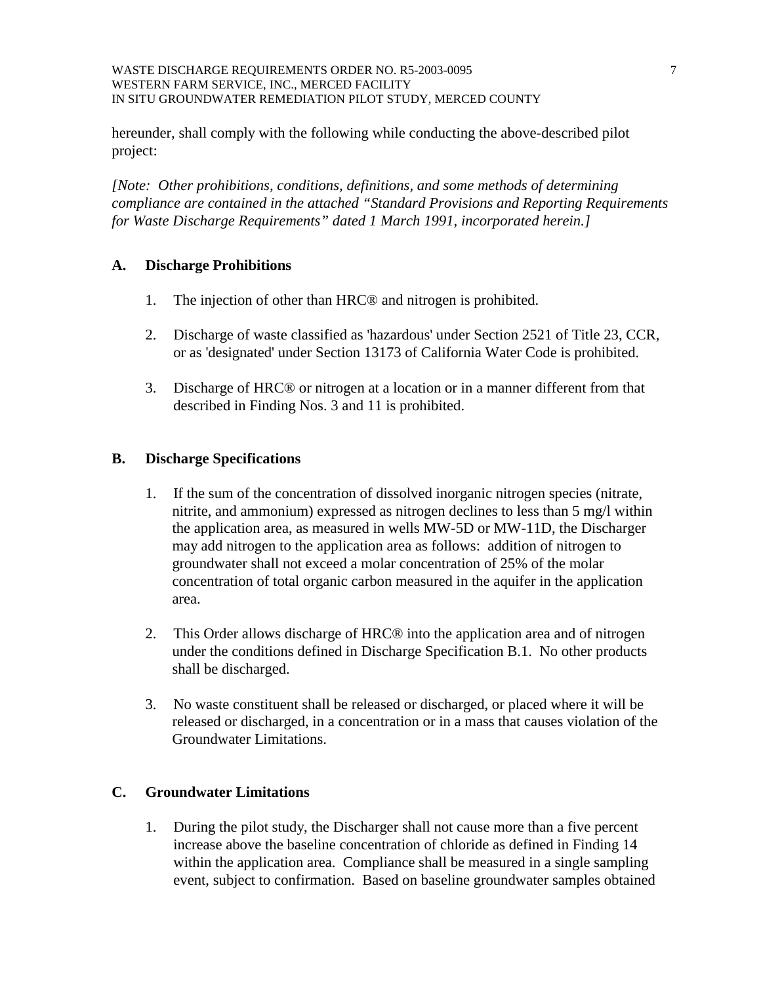#### WASTE DISCHARGE REQUIREMENTS ORDER NO. R5-2003-0095 7 7 WESTERN FARM SERVICE, INC., MERCED FACILITY IN SITU GROUNDWATER REMEDIATION PILOT STUDY, MERCED COUNTY

hereunder, shall comply with the following while conducting the above-described pilot project:

*[Note: Other prohibitions, conditions, definitions, and some methods of determining compliance are contained in the attached "Standard Provisions and Reporting Requirements for Waste Discharge Requirements" dated 1 March 1991, incorporated herein.]* 

## **A. Discharge Prohibitions**

- 1. The injection of other than HRC® and nitrogen is prohibited.
- 2. Discharge of waste classified as 'hazardous' under Section 2521 of Title 23, CCR, or as 'designated' under Section 13173 of California Water Code is prohibited.
- 3. Discharge of HRC® or nitrogen at a location or in a manner different from that described in Finding Nos. 3 and 11 is prohibited.

## **B. Discharge Specifications**

- 1. If the sum of the concentration of dissolved inorganic nitrogen species (nitrate, nitrite, and ammonium) expressed as nitrogen declines to less than 5 mg/l within the application area, as measured in wells MW-5D or MW-11D, the Discharger may add nitrogen to the application area as follows: addition of nitrogen to groundwater shall not exceed a molar concentration of 25% of the molar concentration of total organic carbon measured in the aquifer in the application area.
- 2. This Order allows discharge of HRC® into the application area and of nitrogen under the conditions defined in Discharge Specification B.1. No other products shall be discharged.
- 3. No waste constituent shall be released or discharged, or placed where it will be released or discharged, in a concentration or in a mass that causes violation of the Groundwater Limitations.

# **C. Groundwater Limitations**

1. During the pilot study, the Discharger shall not cause more than a five percent increase above the baseline concentration of chloride as defined in Finding 14 within the application area. Compliance shall be measured in a single sampling event, subject to confirmation. Based on baseline groundwater samples obtained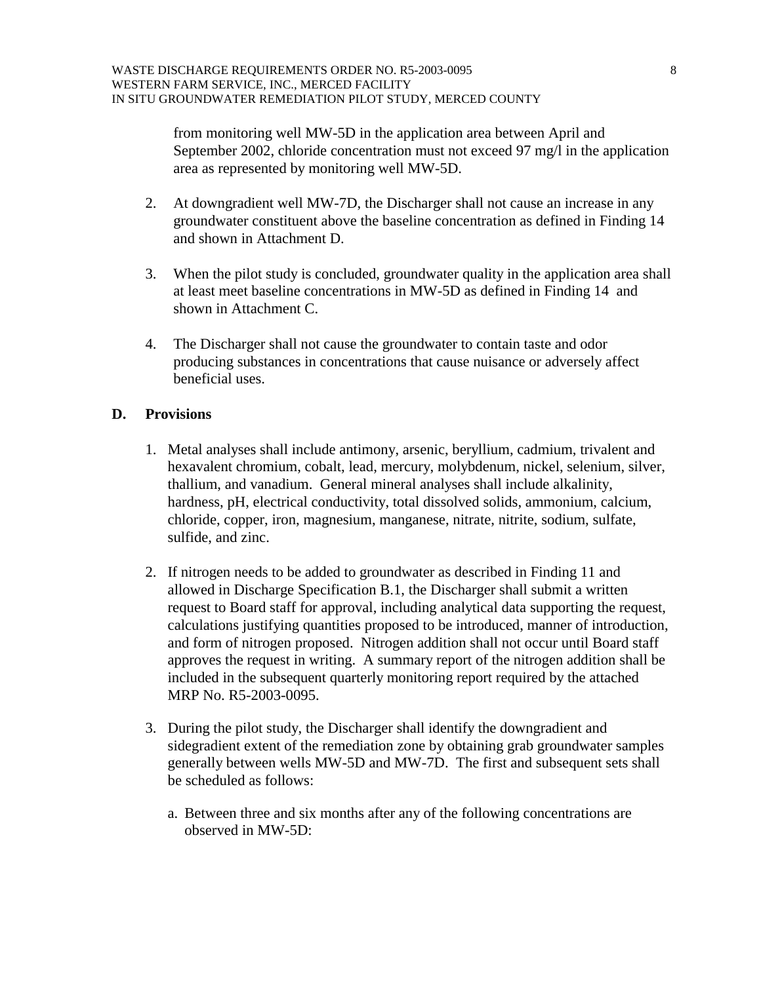from monitoring well MW-5D in the application area between April and September 2002, chloride concentration must not exceed 97 mg/l in the application area as represented by monitoring well MW-5D.

- 2. At downgradient well MW-7D, the Discharger shall not cause an increase in any groundwater constituent above the baseline concentration as defined in Finding 14 and shown in Attachment D.
- 3. When the pilot study is concluded, groundwater quality in the application area shall at least meet baseline concentrations in MW-5D as defined in Finding 14 and shown in Attachment C.
- 4. The Discharger shall not cause the groundwater to contain taste and odor producing substances in concentrations that cause nuisance or adversely affect beneficial uses.

## **D. Provisions**

- 1. Metal analyses shall include antimony, arsenic, beryllium, cadmium, trivalent and hexavalent chromium, cobalt, lead, mercury, molybdenum, nickel, selenium, silver, thallium, and vanadium. General mineral analyses shall include alkalinity, hardness, pH, electrical conductivity, total dissolved solids, ammonium, calcium, chloride, copper, iron, magnesium, manganese, nitrate, nitrite, sodium, sulfate, sulfide, and zinc.
- 2. If nitrogen needs to be added to groundwater as described in Finding 11 and allowed in Discharge Specification B.1, the Discharger shall submit a written request to Board staff for approval, including analytical data supporting the request, calculations justifying quantities proposed to be introduced, manner of introduction, and form of nitrogen proposed. Nitrogen addition shall not occur until Board staff approves the request in writing. A summary report of the nitrogen addition shall be included in the subsequent quarterly monitoring report required by the attached MRP No. R5-2003-0095.
- 3. During the pilot study, the Discharger shall identify the downgradient and sidegradient extent of the remediation zone by obtaining grab groundwater samples generally between wells MW-5D and MW-7D. The first and subsequent sets shall be scheduled as follows:
	- a. Between three and six months after any of the following concentrations are observed in MW-5D: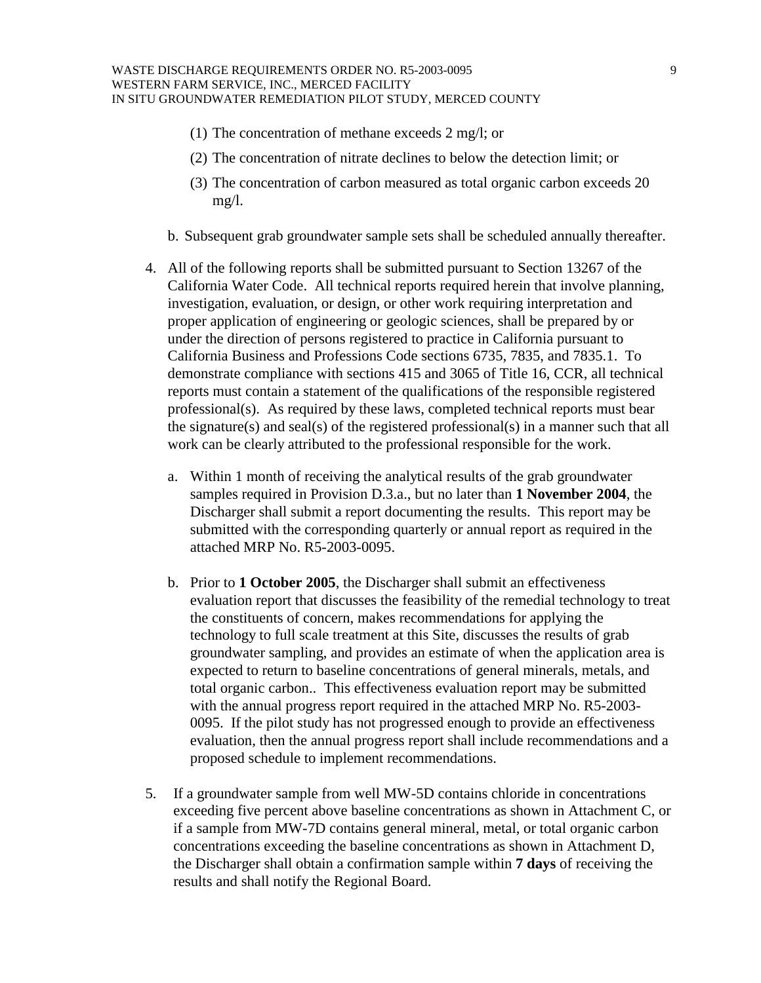- (1) The concentration of methane exceeds 2 mg/l; or
- (2) The concentration of nitrate declines to below the detection limit; or
- (3) The concentration of carbon measured as total organic carbon exceeds 20 mg/l.
- b. Subsequent grab groundwater sample sets shall be scheduled annually thereafter.
- 4. All of the following reports shall be submitted pursuant to Section 13267 of the California Water Code. All technical reports required herein that involve planning, investigation, evaluation, or design, or other work requiring interpretation and proper application of engineering or geologic sciences, shall be prepared by or under the direction of persons registered to practice in California pursuant to California Business and Professions Code sections 6735, 7835, and 7835.1. To demonstrate compliance with sections 415 and 3065 of Title 16, CCR, all technical reports must contain a statement of the qualifications of the responsible registered professional(s). As required by these laws, completed technical reports must bear the signature(s) and seal(s) of the registered professional(s) in a manner such that all work can be clearly attributed to the professional responsible for the work.
	- a. Within 1 month of receiving the analytical results of the grab groundwater samples required in Provision D.3.a., but no later than **1 November 2004**, the Discharger shall submit a report documenting the results. This report may be submitted with the corresponding quarterly or annual report as required in the attached MRP No. R5-2003-0095.
	- b. Prior to **1 October 2005**, the Discharger shall submit an effectiveness evaluation report that discusses the feasibility of the remedial technology to treat the constituents of concern, makes recommendations for applying the technology to full scale treatment at this Site, discusses the results of grab groundwater sampling, and provides an estimate of when the application area is expected to return to baseline concentrations of general minerals, metals, and total organic carbon.. This effectiveness evaluation report may be submitted with the annual progress report required in the attached MRP No. R5-2003- 0095. If the pilot study has not progressed enough to provide an effectiveness evaluation, then the annual progress report shall include recommendations and a proposed schedule to implement recommendations.
- 5. If a groundwater sample from well MW-5D contains chloride in concentrations exceeding five percent above baseline concentrations as shown in Attachment C, or if a sample from MW-7D contains general mineral, metal, or total organic carbon concentrations exceeding the baseline concentrations as shown in Attachment D, the Discharger shall obtain a confirmation sample within **7 days** of receiving the results and shall notify the Regional Board.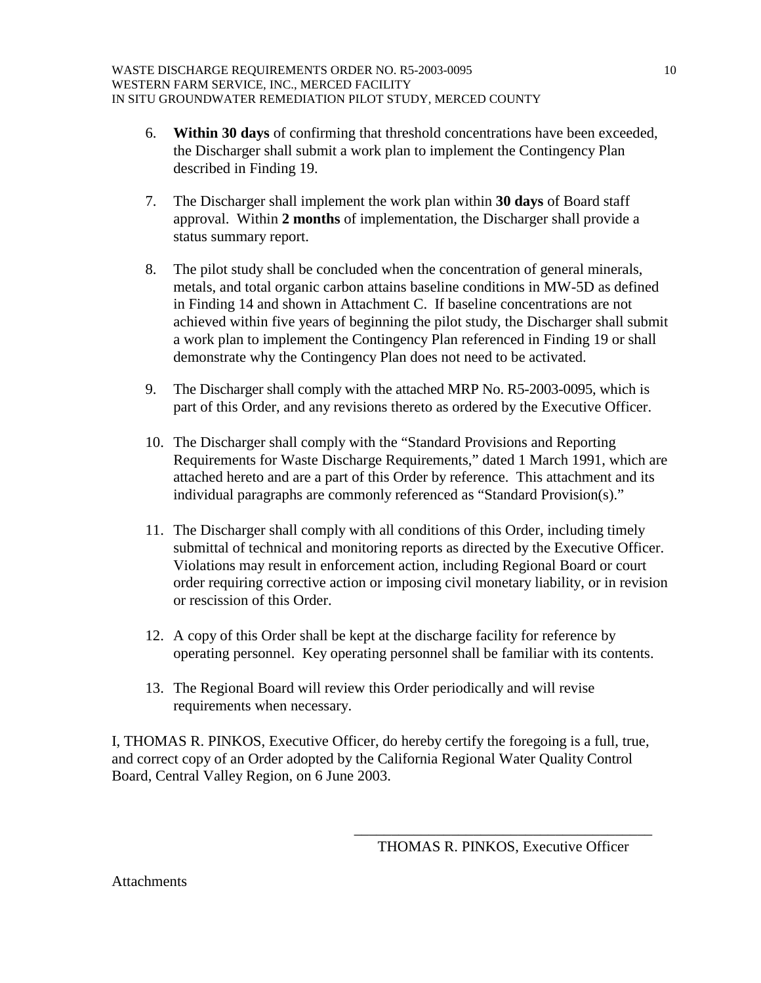- 6. **Within 30 days** of confirming that threshold concentrations have been exceeded, the Discharger shall submit a work plan to implement the Contingency Plan described in Finding 19.
- 7. The Discharger shall implement the work plan within **30 days** of Board staff approval. Within **2 months** of implementation, the Discharger shall provide a status summary report.
- 8. The pilot study shall be concluded when the concentration of general minerals, metals, and total organic carbon attains baseline conditions in MW-5D as defined in Finding 14 and shown in Attachment C. If baseline concentrations are not achieved within five years of beginning the pilot study, the Discharger shall submit a work plan to implement the Contingency Plan referenced in Finding 19 or shall demonstrate why the Contingency Plan does not need to be activated.
- 9. The Discharger shall comply with the attached MRP No. R5-2003-0095, which is part of this Order, and any revisions thereto as ordered by the Executive Officer.
- 10. The Discharger shall comply with the "Standard Provisions and Reporting Requirements for Waste Discharge Requirements," dated 1 March 1991, which are attached hereto and are a part of this Order by reference. This attachment and its individual paragraphs are commonly referenced as "Standard Provision(s)."
- 11. The Discharger shall comply with all conditions of this Order, including timely submittal of technical and monitoring reports as directed by the Executive Officer. Violations may result in enforcement action, including Regional Board or court order requiring corrective action or imposing civil monetary liability, or in revision or rescission of this Order.
- 12. A copy of this Order shall be kept at the discharge facility for reference by operating personnel. Key operating personnel shall be familiar with its contents.
- 13. The Regional Board will review this Order periodically and will revise requirements when necessary.

I, THOMAS R. PINKOS, Executive Officer, do hereby certify the foregoing is a full, true, and correct copy of an Order adopted by the California Regional Water Quality Control Board, Central Valley Region, on 6 June 2003.

 $\overline{\phantom{a}}$  , which is a set of the set of the set of the set of the set of the set of the set of the set of the set of the set of the set of the set of the set of the set of the set of the set of the set of the set of th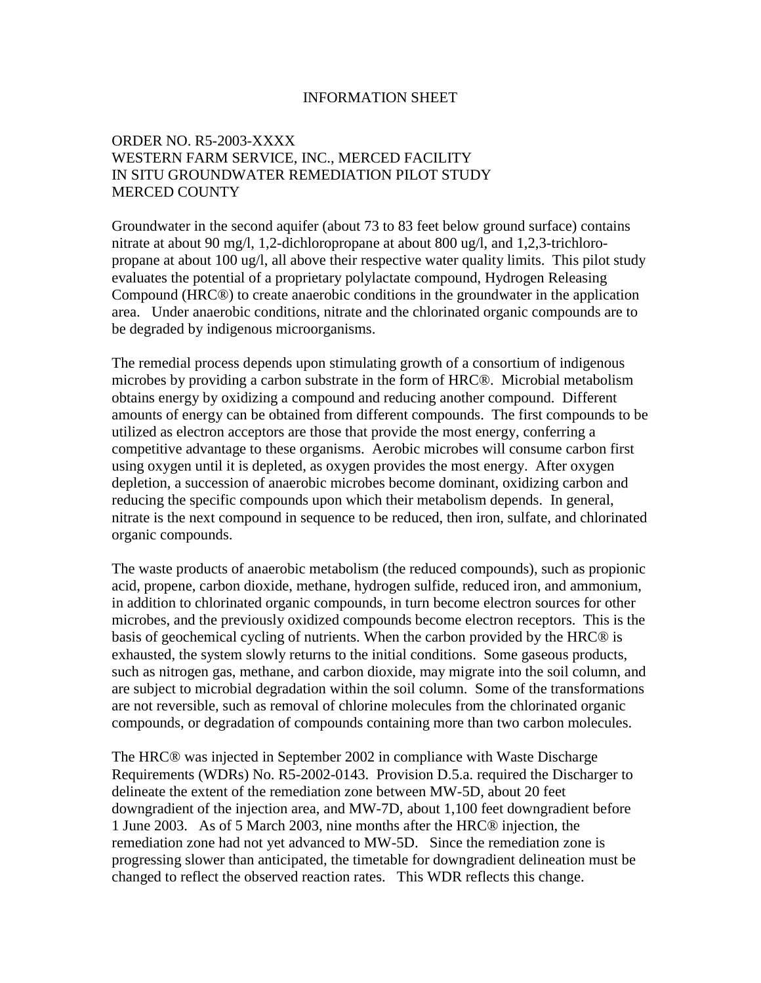### INFORMATION SHEET

## ORDER NO. R5-2003-XXXX WESTERN FARM SERVICE, INC., MERCED FACILITY IN SITU GROUNDWATER REMEDIATION PILOT STUDY MERCED COUNTY

Groundwater in the second aquifer (about 73 to 83 feet below ground surface) contains nitrate at about 90 mg/l, 1,2-dichloropropane at about 800 ug/l, and 1,2,3-trichloropropane at about 100 ug/l, all above their respective water quality limits. This pilot study evaluates the potential of a proprietary polylactate compound, Hydrogen Releasing Compound (HRC®) to create anaerobic conditions in the groundwater in the application area. Under anaerobic conditions, nitrate and the chlorinated organic compounds are to be degraded by indigenous microorganisms.

The remedial process depends upon stimulating growth of a consortium of indigenous microbes by providing a carbon substrate in the form of HRC®. Microbial metabolism obtains energy by oxidizing a compound and reducing another compound. Different amounts of energy can be obtained from different compounds. The first compounds to be utilized as electron acceptors are those that provide the most energy, conferring a competitive advantage to these organisms. Aerobic microbes will consume carbon first using oxygen until it is depleted, as oxygen provides the most energy. After oxygen depletion, a succession of anaerobic microbes become dominant, oxidizing carbon and reducing the specific compounds upon which their metabolism depends. In general, nitrate is the next compound in sequence to be reduced, then iron, sulfate, and chlorinated organic compounds.

The waste products of anaerobic metabolism (the reduced compounds), such as propionic acid, propene, carbon dioxide, methane, hydrogen sulfide, reduced iron, and ammonium, in addition to chlorinated organic compounds, in turn become electron sources for other microbes, and the previously oxidized compounds become electron receptors. This is the basis of geochemical cycling of nutrients. When the carbon provided by the HRC® is exhausted, the system slowly returns to the initial conditions. Some gaseous products, such as nitrogen gas, methane, and carbon dioxide, may migrate into the soil column, and are subject to microbial degradation within the soil column. Some of the transformations are not reversible, such as removal of chlorine molecules from the chlorinated organic compounds, or degradation of compounds containing more than two carbon molecules.

The HRC® was injected in September 2002 in compliance with Waste Discharge Requirements (WDRs) No. R5-2002-0143. Provision D.5.a. required the Discharger to delineate the extent of the remediation zone between MW-5D, about 20 feet downgradient of the injection area, and MW-7D, about 1,100 feet downgradient before 1 June 2003. As of 5 March 2003, nine months after the HRC® injection, the remediation zone had not yet advanced to MW-5D. Since the remediation zone is progressing slower than anticipated, the timetable for downgradient delineation must be changed to reflect the observed reaction rates. This WDR reflects this change.